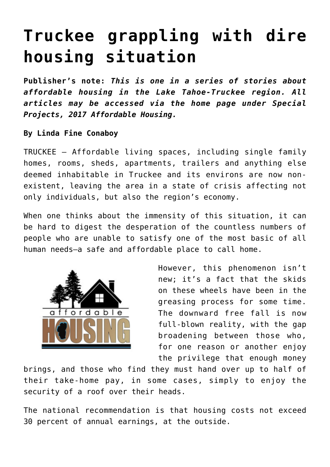## **[Truckee grappling with dire](https://www.laketahoenews.net/2017/04/truckee-grappling-dire-housing-situation/) [housing situation](https://www.laketahoenews.net/2017/04/truckee-grappling-dire-housing-situation/)**

**Publisher's note:** *This is one in a series of stories about affordable housing in the Lake Tahoe-Truckee region. All articles may be accessed via the home page under Special Projects, 2017 Affordable Housing.*

## **By Linda Fine Conaboy**

TRUCKEE – Affordable living spaces, including single family homes, rooms, sheds, apartments, trailers and anything else deemed inhabitable in Truckee and its environs are now nonexistent, leaving the area in a state of crisis affecting not only individuals, but also the region's economy.

When one thinks about the immensity of this situation, it can be hard to digest the desperation of the countless numbers of people who are unable to satisfy one of the most basic of all human needs—a safe and affordable place to call home.



However, this phenomenon isn't new; it's a fact that the skids on these wheels have been in the greasing process for some time. The downward free fall is now full-blown reality, with the gap broadening between those who, for one reason or another enjoy the privilege that enough money

brings, and those who find they must hand over up to half of their take-home pay, in some cases, simply to enjoy the security of a roof over their heads.

The national recommendation is that housing costs not exceed 30 percent of annual earnings, at the outside.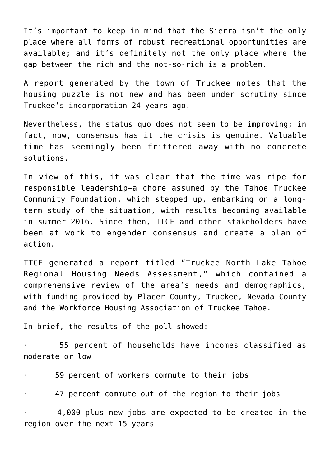It's important to keep in mind that the Sierra isn't the only place where all forms of robust recreational opportunities are available; and it's definitely not the only place where the gap between the rich and the not-so-rich is a problem.

A report generated by the town of Truckee notes that the housing puzzle is not new and has been under scrutiny since Truckee's incorporation 24 years ago.

Nevertheless, the status quo does not seem to be improving; in fact, now, consensus has it the crisis is genuine. Valuable time has seemingly been frittered away with no concrete solutions.

In view of this, it was clear that the time was ripe for responsible leadership—a chore assumed by the Tahoe Truckee Community Foundation, which stepped up, embarking on a longterm study of the situation, with results becoming available in summer 2016. Since then, TTCF and other stakeholders have been at work to engender consensus and create a plan of action.

TTCF generated a report titled "Truckee North Lake Tahoe Regional Housing Needs Assessment," which contained a comprehensive review of the area's needs and demographics, with funding provided by Placer County, Truckee, Nevada County and the Workforce Housing Association of Truckee Tahoe.

In brief, the results of the poll showed:

55 percent of households have incomes classified as moderate or low

· 59 percent of workers commute to their jobs

47 percent commute out of the region to their jobs

· 4,000-plus new jobs are expected to be created in the region over the next 15 years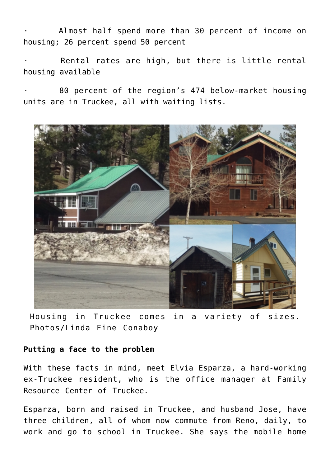Almost half spend more than 30 percent of income on housing; 26 percent spend 50 percent

Rental rates are high, but there is little rental housing available

80 percent of the region's 474 below-market housing units are in Truckee, all with waiting lists.



Housing in Truckee comes in a variety of sizes. Photos/Linda Fine Conaboy

## **Putting a face to the problem**

With these facts in mind, meet Elvia Esparza, a hard-working ex-Truckee resident, who is the office manager at Family Resource Center of Truckee.

Esparza, born and raised in Truckee, and husband Jose, have three children, all of whom now commute from Reno, daily, to work and go to school in Truckee. She says the mobile home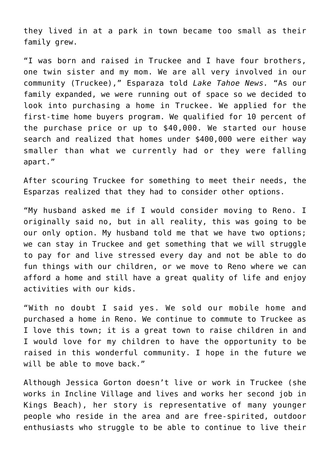they lived in at a park in town became too small as their family grew.

"I was born and raised in Truckee and I have four brothers, one twin sister and my mom. We are all very involved in our community (Truckee)," Esparaza told *Lake Tahoe News.* "As our family expanded, we were running out of space so we decided to look into purchasing a home in Truckee. We applied for the first-time home buyers program. We qualified for 10 percent of the purchase price or up to \$40,000. We started our house search and realized that homes under \$400,000 were either way smaller than what we currently had or they were falling apart."

After scouring Truckee for something to meet their needs, the Esparzas realized that they had to consider other options.

"My husband asked me if I would consider moving to Reno. I originally said no, but in all reality, this was going to be our only option. My husband told me that we have two options; we can stay in Truckee and get something that we will struggle to pay for and live stressed every day and not be able to do fun things with our children, or we move to Reno where we can afford a home and still have a great quality of life and enjoy activities with our kids.

"With no doubt I said yes. We sold our mobile home and purchased a home in Reno. We continue to commute to Truckee as I love this town; it is a great town to raise children in and I would love for my children to have the opportunity to be raised in this wonderful community. I hope in the future we will be able to move back."

Although Jessica Gorton doesn't live or work in Truckee (she works in Incline Village and lives and works her second job in Kings Beach), her story is representative of many younger people who reside in the area and are free-spirited, outdoor enthusiasts who struggle to be able to continue to live their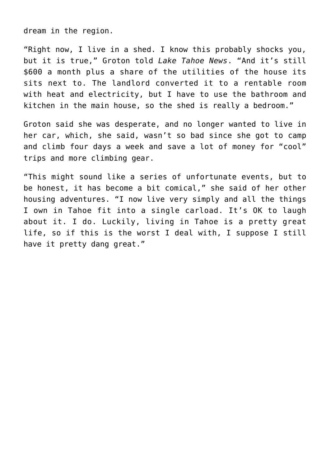dream in the region.

"Right now, I live in a shed. I know this probably shocks you, but it is true," Groton told *Lake Tahoe News*. "And it's still \$600 a month plus a share of the utilities of the house its sits next to. The landlord converted it to a rentable room with heat and electricity, but I have to use the bathroom and kitchen in the main house, so the shed is really a bedroom."

Groton said she was desperate, and no longer wanted to live in her car, which, she said, wasn't so bad since she got to camp and climb four days a week and save a lot of money for "cool" trips and more climbing gear.

"This might sound like a series of unfortunate events, but to be honest, it has become a bit comical," she said of her other housing adventures. "I now live very simply and all the things I own in Tahoe fit into a single carload. It's OK to laugh about it. I do. Luckily, living in Tahoe is a pretty great life, so if this is the worst I deal with, I suppose I still have it pretty dang great."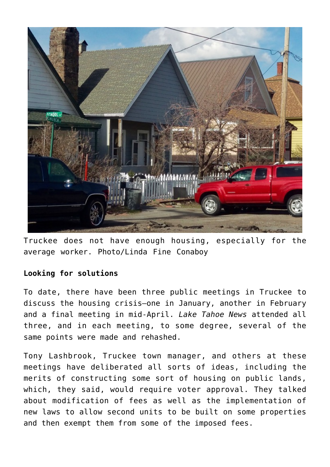

Truckee does not have enough housing, especially for the average worker. Photo/Linda Fine Conaboy

## **Looking for solutions**

To date, there have been three public meetings in Truckee to discuss the housing crisis—one in January, another in February and a final meeting in mid-April. *Lake Tahoe News* attended all three, and in each meeting, to some degree, several of the same points were made and rehashed.

Tony Lashbrook, Truckee town manager, and others at these meetings have deliberated all sorts of ideas, including the merits of constructing some sort of housing on public lands, which, they said, would require voter approval. They talked about modification of fees as well as the implementation of new laws to allow second units to be built on some properties and then exempt them from some of the imposed fees.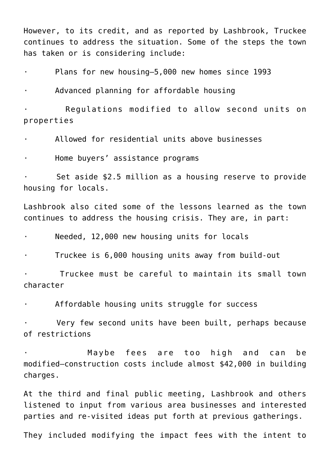However, to its credit, and as reported by Lashbrook, Truckee continues to address the situation. Some of the steps the town has taken or is considering include:

· Plans for new housing—5,000 new homes since 1993

Advanced planning for affordable housing

Regulations modified to allow second units on properties

· Allowed for residential units above businesses

Home buyers' assistance programs

Set aside \$2.5 million as a housing reserve to provide housing for locals.

Lashbrook also cited some of the lessons learned as the town continues to address the housing crisis. They are, in part:

Needed, 12,000 new housing units for locals

Truckee is 6,000 housing units away from build-out

Truckee must be careful to maintain its small town character

Affordable housing units struggle for success

Very few second units have been built, perhaps because of restrictions

· Maybe fees are too high and can be modified—construction costs include almost \$42,000 in building charges.

At the third and final public meeting, Lashbrook and others listened to input from various area businesses and interested parties and re-visited ideas put forth at previous gatherings.

They included modifying the impact fees with the intent to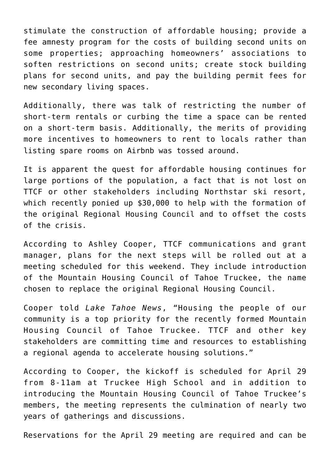stimulate the construction of affordable housing; provide a fee amnesty program for the costs of building second units on some properties; approaching homeowners' associations to soften restrictions on second units; create stock building plans for second units, and pay the building permit fees for new secondary living spaces.

Additionally, there was talk of restricting the number of short-term rentals or curbing the time a space can be rented on a short-term basis. Additionally, the merits of providing more incentives to homeowners to rent to locals rather than listing spare rooms on Airbnb was tossed around.

It is apparent the quest for affordable housing continues for large portions of the population, a fact that is not lost on TTCF or other stakeholders including Northstar ski resort, which recently ponied up \$30,000 to help with the formation of the original Regional Housing Council and to offset the costs of the crisis.

According to Ashley Cooper, TTCF communications and grant manager, plans for the next steps will be rolled out at a meeting scheduled for this weekend. They include introduction of the Mountain Housing Council of Tahoe Truckee, the name chosen to replace the original Regional Housing Council.

Cooper told *Lake Tahoe News*, "Housing the people of our community is a top priority for the recently formed Mountain Housing Council of Tahoe Truckee. TTCF and other key stakeholders are committing time and resources to establishing a regional agenda to accelerate housing solutions."

According to Cooper, the kickoff is scheduled for April 29 from 8-11am at Truckee High School and in addition to introducing the Mountain Housing Council of Tahoe Truckee's members, the meeting represents the culmination of nearly two years of gatherings and discussions.

Reservations for the April 29 meeting are required and can be